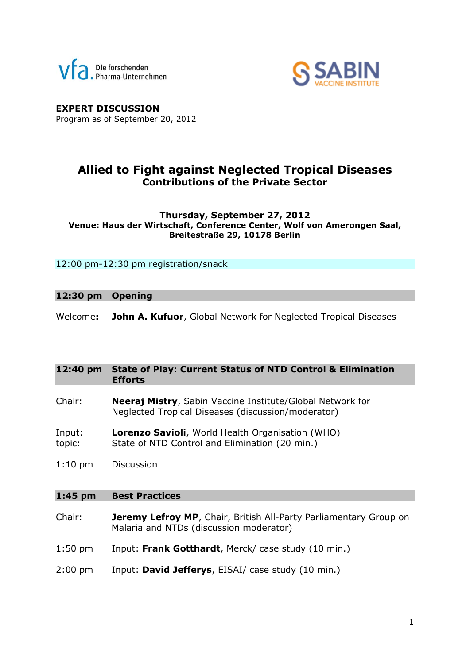



**EXPERT DISCUSSION** Program as of September 20, 2012

### **Allied to Fight against Neglected Tropical Diseases Contributions of the Private Sector**

#### **Thursday, September 27, 2012 Venue: Haus der Wirtschaft, Conference Center, Wolf von Amerongen Saal, Breitestraße 29, 10178 Berlin**

12:00 pm-12:30 pm registration/snack

#### **12:30 pm Opening**

Welcome**: John A. Kufuor**, Global Network for Neglected Tropical Diseases

#### **12:40 pm State of Play: Current Status of NTD Control & Elimination Efforts**

- Chair: **Neeraj Mistry**, Sabin Vaccine Institute/Global Network for Neglected Tropical Diseases (discussion/moderator)
- Input: **Lorenzo Savioli**, World Health Organisation (WHO) topic: State of NTD Control and Elimination (20 min.)
- 1:10 pm Discussion

#### **1:45 pm Best Practices**

- Chair: **Jeremy Lefroy MP**, Chair, British All-Party Parliamentary Group on Malaria and NTDs (discussion moderator)
- 1:50 pm Input: **Frank Gotthardt**, Merck/ case study (10 min.)
- 2:00 pm Input: **David Jefferys**, EISAI/ case study (10 min.)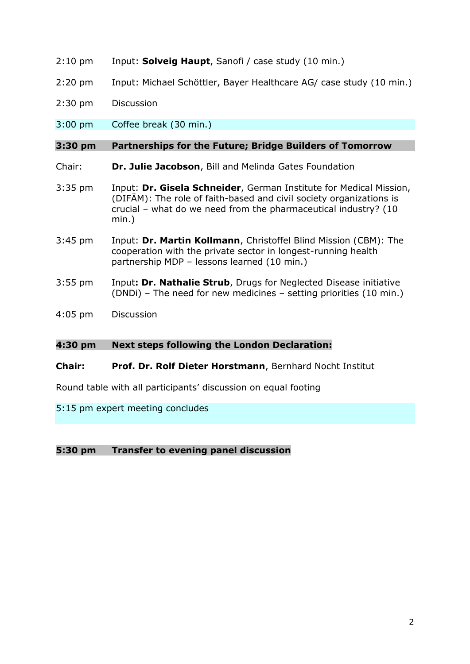- 2:10 pm Input: **Solveig Haupt**, Sanofi / case study (10 min.)
- 2:20 pm Input: Michael Schöttler, Bayer Healthcare AG/ case study (10 min.)
- 2:30 pm Discussion
- 3:00 pm Coffee break (30 min.)

#### **3:30 pm Partnerships for the Future; Bridge Builders of Tomorrow**

- Chair: **Dr. Julie Jacobson**, Bill and Melinda Gates Foundation
- 3:35 pm Input: **Dr. Gisela Schneider**, German Institute for Medical Mission, (DIFÄM): The role of faith-based and civil society organizations is crucial – what do we need from the pharmaceutical industry? (10 min.)
- 3:45 pm Input: **Dr. Martin Kollmann**, Christoffel Blind Mission (CBM): The cooperation with the private sector in longest-running health partnership MDP – lessons learned (10 min.)
- 3:55 pm Input**: Dr. Nathalie Strub**, Drugs for Neglected Disease initiative (DNDi) – The need for new medicines – setting priorities (10 min.)
- 4:05 pm Discussion

#### **4:30 pm Next steps following the London Declaration:**

#### **Chair: Prof. Dr. Rolf Dieter Horstmann**, Bernhard Nocht Institut

Round table with all participants' discussion on equal footing

#### 5:15 pm expert meeting concludes

#### **5:30 pm Transfer to evening panel discussion**